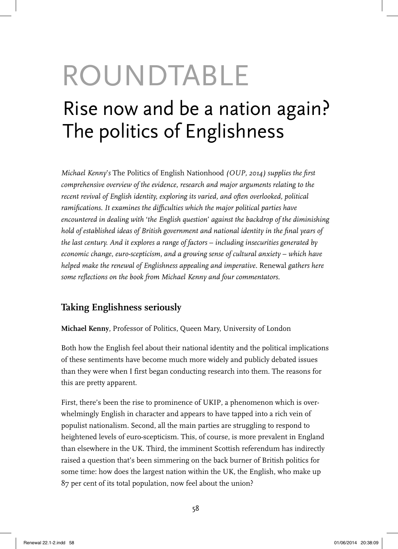# ROUNDTABLE Rise now and be a nation again? The politics of Englishness

*Michael Kenny's* The Politics of English Nationhood (OUP, 2014) supplies the first *comprehensive overview of the evidence, research and major arguments relating to the recent revival of English identity, exploring its varied, and often overlooked, political*  ramifications. It examines the difficulties which the major political parties have *encountered in dealing with* '*the English question*' *against the backdrop of the diminishing*  hold of established ideas of British government and national identity in the final years of *the last century. And it explores a range of factors* – *including insecurities generated by economic change, euro-scepticism, and a growing sense of cultural anxiety – which have helped make the renewal of Englishness appealing and imperative.* Renewal *gathers here*  some reflections on the book from Michael Kenny and four commentators.

# **Taking Englishness seriously**

**Michael Kenny**, Professor of Politics, Queen Mary, University of London

Both how the English feel about their national identity and the political implications of these sentiments have become much more widely and publicly debated issues than they were when I first began conducting research into them. The reasons for this are pretty apparent.

First, there's been the rise to prominence of UKIP, a phenomenon which is overwhelmingly English in character and appears to have tapped into a rich vein of populist nationalism. Second, all the main parties are struggling to respond to heightened levels of euro-scepticism. This, of course, is more prevalent in England than elsewhere in the UK. Third, the imminent Scottish referendum has indirectly raised a question that's been simmering on the back burner of British politics for some time: how does the largest nation within the UK, the English, who make up 87 per cent of its total population, now feel about the union?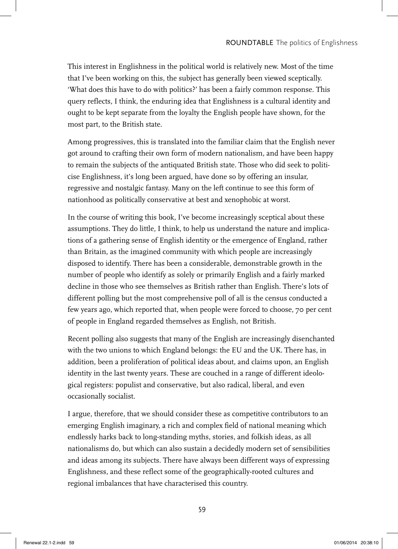This interest in Englishness in the political world is relatively new. Most of the time that I've been working on this, the subject has generally been viewed sceptically. 'What does this have to do with politics?' has been a fairly common response. This query reflects, I think, the enduring idea that Englishness is a cultural identity and ought to be kept separate from the loyalty the English people have shown, for the most part, to the British state.

Among progressives, this is translated into the familiar claim that the English never got around to crafting their own form of modern nationalism, and have been happy to remain the subjects of the antiquated British state. Those who did seek to politicise Englishness, it's long been argued, have done so by offering an insular, regressive and nostalgic fantasy. Many on the left continue to see this form of nationhood as politically conservative at best and xenophobic at worst.

In the course of writing this book, I've become increasingly sceptical about these assumptions. They do little, I think, to help us understand the nature and implications of a gathering sense of English identity or the emergence of England, rather than Britain, as the imagined community with which people are increasingly disposed to identify. There has been a considerable, demonstrable growth in the number of people who identify as solely or primarily English and a fairly marked decline in those who see themselves as British rather than English. There's lots of different polling but the most comprehensive poll of all is the census conducted a few years ago, which reported that, when people were forced to choose, 70 per cent of people in England regarded themselves as English, not British.

Recent polling also suggests that many of the English are increasingly disenchanted with the two unions to which England belongs: the EU and the UK. There has, in addition, been a proliferation of political ideas about, and claims upon, an English identity in the last twenty years. These are couched in a range of different ideological registers: populist and conservative, but also radical, liberal, and even occasionally socialist.

I argue, therefore, that we should consider these as competitive contributors to an emerging English imaginary, a rich and complex field of national meaning which endlessly harks back to long-standing myths, stories, and folkish ideas, as all nationalisms do, but which can also sustain a decidedly modern set of sensibilities and ideas among its subjects. There have always been different ways of expressing Englishness, and these reflect some of the geographically-rooted cultures and regional imbalances that have characterised this country.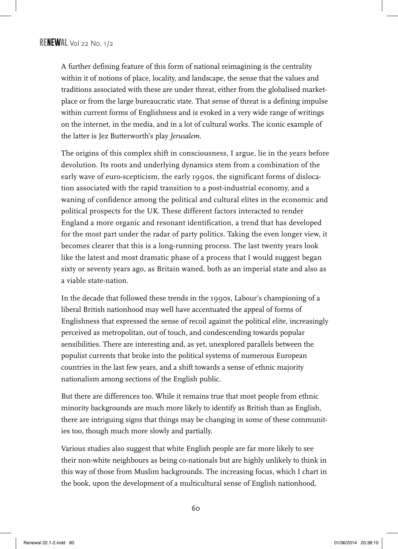A further defining feature of this form of national reimagining is the centrality within it of notions of place, locality, and landscape, the sense that the values and traditions associated with these are under threat, either from the globalised marketplace or from the large bureaucratic state. That sense of threat is a defining impulse within current forms of Englishness and is evoked in a very wide range of writings on the internet, in the media, and in a lot of cultural works. The iconic example of the latter is Jez Butterworth's play *Jerusalem.*

The origins of this complex shift in consciousness, I argue, lie in the years before devolution. Its roots and underlying dynamics stem from a combination of the early wave of euro-scepticism, the early 1990s, the significant forms of dislocation associated with the rapid transition to a post-industrial economy, and a waning of confidence among the political and cultural elites in the economic and political prospects for the UK. These different factors interacted to render England a more organic and resonant identification, a trend that has developed for the most part under the radar of party politics. Taking the even longer view, it becomes clearer that this is a long-running process. The last twenty years look like the latest and most dramatic phase of a process that I would suggest began sixty or seventy years ago, as Britain waned, both as an imperial state and also as a viable state-nation.

In the decade that followed these trends in the 1990s, Labour's championing of a liberal British nationhood may well have accentuated the appeal of forms of Englishness that expressed the sense of recoil against the political elite, increasingly perceived as metropolitan, out of touch, and condescending towards popular sensibilities. There are interesting and, as yet, unexplored parallels between the populist currents that broke into the political systems of numerous European countries in the last few years, and a shift towards a sense of ethnic majority nationalism among sections of the English public.

But there are differences too. While it remains true that most people from ethnic minority backgrounds are much more likely to identify as British than as English, there are intriguing signs that things may be changing in some of these communities too, though much more slowly and partially.

Various studies also suggest that white English people are far more likely to see their non-white neighbours as being co-nationals but are highly unlikely to think in this way of those from Muslim backgrounds. The increasing focus, which I chart in the book, upon the development of a multicultural sense of English nationhood,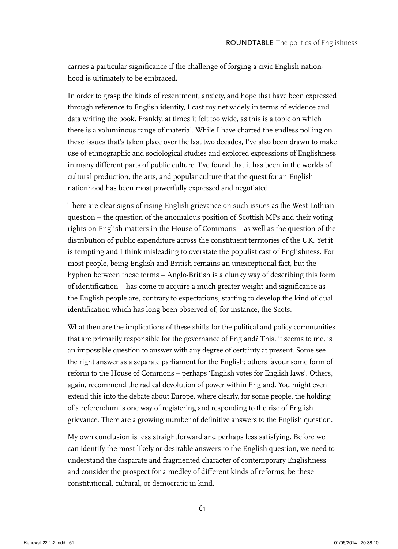carries a particular significance if the challenge of forging a civic English nationhood is ultimately to be embraced.

In order to grasp the kinds of resentment, anxiety, and hope that have been expressed through reference to English identity, I cast my net widely in terms of evidence and data writing the book. Frankly, at times it felt too wide, as this is a topic on which there is a voluminous range of material. While I have charted the endless polling on these issues that's taken place over the last two decades, I've also been drawn to make use of ethnographic and sociological studies and explored expressions of Englishness in many different parts of public culture. I've found that it has been in the worlds of cultural production, the arts, and popular culture that the quest for an English nationhood has been most powerfully expressed and negotiated.

There are clear signs of rising English grievance on such issues as the West Lothian question – the question of the anomalous position of Scottish MPs and their voting rights on English matters in the House of Commons – as well as the question of the distribution of public expenditure across the constituent territories of the UK. Yet it is tempting and I think misleading to overstate the populist cast of Englishness. For most people, being English and British remains an unexceptional fact, but the hyphen between these terms – Anglo-British is a clunky way of describing this form of identification – has come to acquire a much greater weight and significance as the English people are, contrary to expectations, starting to develop the kind of dual identification which has long been observed of, for instance, the Scots.

What then are the implications of these shifts for the political and policy communities that are primarily responsible for the governance of England? This, it seems to me, is an impossible question to answer with any degree of certainty at present. Some see the right answer as a separate parliament for the English; others favour some form of reform to the House of Commons – perhaps 'English votes for English laws'. Others, again, recommend the radical devolution of power within England. You might even extend this into the debate about Europe, where clearly, for some people, the holding of a referendum is one way of registering and responding to the rise of English grievance. There are a growing number of definitive answers to the English question.

My own conclusion is less straightforward and perhaps less satisfying. Before we can identify the most likely or desirable answers to the English question, we need to understand the disparate and fragmented character of contemporary Englishness and consider the prospect for a medley of different kinds of reforms, be these constitutional, cultural, or democratic in kind.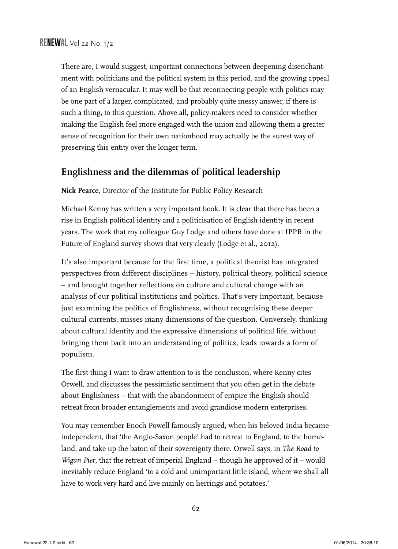There are, I would suggest, important connections between deepening disenchantment with politicians and the political system in this period, and the growing appeal of an English vernacular. It may well be that reconnecting people with politics may be one part of a larger, complicated, and probably quite messy answer, if there is such a thing, to this question. Above all, policy-makers need to consider whether making the English feel more engaged with the union and allowing them a greater sense of recognition for their own nationhood may actually be the surest way of preserving this entity over the longer term.

# **Englishness and the dilemmas of political leadership**

**Nick Pearce**, Director of the Institute for Public Policy Research

Michael Kenny has written a very important book. It is clear that there has been a rise in English political identity and a politicisation of English identity in recent years. The work that my colleague Guy Lodge and others have done at IPPR in the Future of England survey shows that very clearly (Lodge et al., 2012).

It's also important because for the first time, a political theorist has integrated perspectives from different disciplines – history, political theory, political science – and brought together reflections on culture and cultural change with an analysis of our political institutions and politics. That's very important, because just examining the politics of Englishness, without recognising these deeper cultural currents, misses many dimensions of the question. Conversely, thinking about cultural identity and the expressive dimensions of political life, without bringing them back into an understanding of politics, leads towards a form of populism.

The first thing I want to draw attention to is the conclusion, where Kenny cites Orwell, and discusses the pessimistic sentiment that you often get in the debate about Englishness – that with the abandonment of empire the English should retreat from broader entanglements and avoid grandiose modern enterprises.

You may remember Enoch Powell famously argued, when his beloved India became independent, that 'the Anglo-Saxon people' had to retreat to England, to the homeland, and take up the baton of their sovereignty there. Orwell says, in *The Road to Wigan Pier*, that the retreat of imperial England – though he approved of it – would inevitably reduce England 'to a cold and unimportant little island, where we shall all have to work very hard and live mainly on herrings and potatoes.'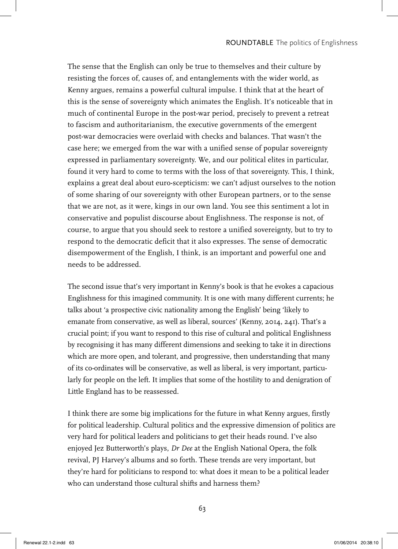The sense that the English can only be true to themselves and their culture by resisting the forces of, causes of, and entanglements with the wider world, as Kenny argues, remains a powerful cultural impulse. I think that at the heart of this is the sense of sovereignty which animates the English. It's noticeable that in much of continental Europe in the post-war period, precisely to prevent a retreat to fascism and authoritarianism, the executive governments of the emergent post-war democracies were overlaid with checks and balances. That wasn't the case here; we emerged from the war with a unified sense of popular sovereignty expressed in parliamentary sovereignty. We, and our political elites in particular, found it very hard to come to terms with the loss of that sovereignty. This, I think, explains a great deal about euro-scepticism: we can't adjust ourselves to the notion of some sharing of our sovereignty with other European partners, or to the sense that we are not, as it were, kings in our own land. You see this sentiment a lot in conservative and populist discourse about Englishness. The response is not, of course, to argue that you should seek to restore a unified sovereignty, but to try to respond to the democratic deficit that it also expresses. The sense of democratic disempowerment of the English, I think, is an important and powerful one and needs to be addressed.

The second issue that's very important in Kenny's book is that he evokes a capacious Englishness for this imagined community. It is one with many different currents; he talks about 'a prospective civic nationality among the English' being 'likely to emanate from conservative, as well as liberal, sources' (Kenny, 2014, 241). That's a crucial point; if you want to respond to this rise of cultural and political Englishness by recognising it has many different dimensions and seeking to take it in directions which are more open, and tolerant, and progressive, then understanding that many of its co-ordinates will be conservative, as well as liberal, is very important, particularly for people on the left. It implies that some of the hostility to and denigration of Little England has to be reassessed.

I think there are some big implications for the future in what Kenny argues, firstly for political leadership. Cultural politics and the expressive dimension of politics are very hard for political leaders and politicians to get their heads round. I've also enjoyed Jez Butterworth's plays, *Dr Dee* at the English National Opera, the folk revival, PJ Harvey's albums and so forth. These trends are very important, but they're hard for politicians to respond to: what does it mean to be a political leader who can understand those cultural shifts and harness them?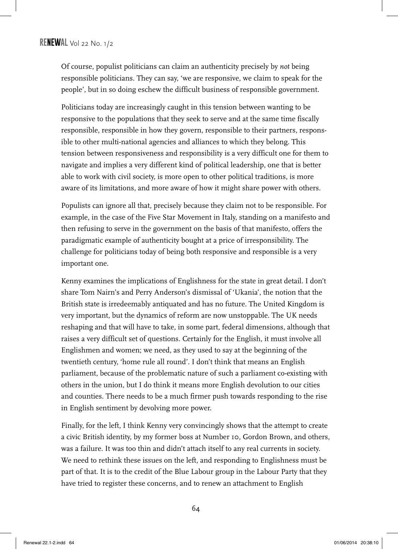Of course, populist politicians can claim an authenticity precisely by *not* being responsible politicians. They can say, 'we are responsive, we claim to speak for the people', but in so doing eschew the difficult business of responsible government.

Politicians today are increasingly caught in this tension between wanting to be responsive to the populations that they seek to serve and at the same time fiscally responsible, responsible in how they govern, responsible to their partners, responsible to other multi-national agencies and alliances to which they belong. This tension between responsiveness and responsibility is a very difficult one for them to navigate and implies a very different kind of political leadership, one that is better able to work with civil society, is more open to other political traditions, is more aware of its limitations, and more aware of how it might share power with others.

Populists can ignore all that, precisely because they claim not to be responsible. For example, in the case of the Five Star Movement in Italy, standing on a manifesto and then refusing to serve in the government on the basis of that manifesto, offers the paradigmatic example of authenticity bought at a price of irresponsibility. The challenge for politicians today of being both responsive and responsible is a very important one.

Kenny examines the implications of Englishness for the state in great detail. I don't share Tom Nairn's and Perry Anderson's dismissal of 'Ukania', the notion that the British state is irredeemably antiquated and has no future. The United Kingdom is very important, but the dynamics of reform are now unstoppable. The UK needs reshaping and that will have to take, in some part, federal dimensions, although that raises a very difficult set of questions. Certainly for the English, it must involve all Englishmen and women; we need, as they used to say at the beginning of the twentieth century, 'home rule all round'. I don't think that means an English parliament, because of the problematic nature of such a parliament co-existing with others in the union, but I do think it means more English devolution to our cities and counties. There needs to be a much firmer push towards responding to the rise in English sentiment by devolving more power.

Finally, for the left, I think Kenny very convincingly shows that the attempt to create a civic British identity, by my former boss at Number 10, Gordon Brown, and others, was a failure. It was too thin and didn't attach itself to any real currents in society. We need to rethink these issues on the left, and responding to Englishness must be part of that. It is to the credit of the Blue Labour group in the Labour Party that they have tried to register these concerns, and to renew an attachment to English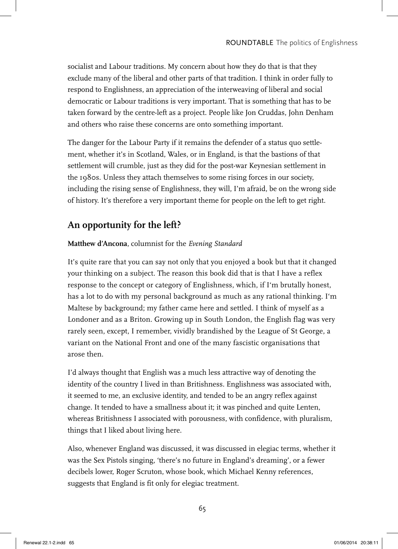socialist and Labour traditions. My concern about how they do that is that they exclude many of the liberal and other parts of that tradition. I think in order fully to respond to Englishness, an appreciation of the interweaving of liberal and social democratic or Labour traditions is very important. That is something that has to be taken forward by the centre-left as a project. People like Jon Cruddas, John Denham and others who raise these concerns are onto something important.

The danger for the Labour Party if it remains the defender of a status quo settlement, whether it's in Scotland, Wales, or in England, is that the bastions of that settlement will crumble, just as they did for the post-war Keynesian settlement in the 1980s. Unless they attach themselves to some rising forces in our society, including the rising sense of Englishness, they will, I'm afraid, be on the wrong side of history. It's therefore a very important theme for people on the left to get right.

# **An opportunity for the left?**

#### **Matthew d'Ancona**, columnist for the *Evening Standard*

It's quite rare that you can say not only that you enjoyed a book but that it changed your thinking on a subject. The reason this book did that is that I have a reflex response to the concept or category of Englishness, which, if I'm brutally honest, has a lot to do with my personal background as much as any rational thinking. I'm Maltese by background; my father came here and settled. I think of myself as a Londoner and as a Briton. Growing up in South London, the English flag was very rarely seen, except, I remember, vividly brandished by the League of St George, a variant on the National Front and one of the many fascistic organisations that arose then.

I'd always thought that English was a much less attractive way of denoting the identity of the country I lived in than Britishness. Englishness was associated with, it seemed to me, an exclusive identity, and tended to be an angry reflex against change. It tended to have a smallness about it; it was pinched and quite Lenten, whereas Britishness I associated with porousness, with confidence, with pluralism, things that I liked about living here.

Also, whenever England was discussed, it was discussed in elegiac terms, whether it was the Sex Pistols singing, 'there's no future in England's dreaming', or a fewer decibels lower, Roger Scruton, whose book, which Michael Kenny references, suggests that England is fit only for elegiac treatment.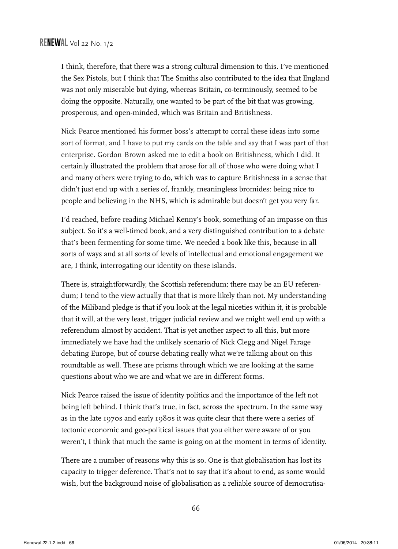I think, therefore, that there was a strong cultural dimension to this. I've mentioned the Sex Pistols, but I think that The Smiths also contributed to the idea that England was not only miserable but dying, whereas Britain, co-terminously, seemed to be doing the opposite. Naturally, one wanted to be part of the bit that was growing, prosperous, and open-minded, which was Britain and Britishness.

Nick Pearce mentioned his former boss's attempt to corral these ideas into some sort of format, and I have to put my cards on the table and say that I was part of that enterprise. Gordon Brown asked me to edit a book on Britishness, which I did. It certainly illustrated the problem that arose for all of those who were doing what I and many others were trying to do, which was to capture Britishness in a sense that didn't just end up with a series of, frankly, meaningless bromides: being nice to people and believing in the NHS, which is admirable but doesn't get you very far.

I'd reached, before reading Michael Kenny's book, something of an impasse on this subject. So it's a well-timed book, and a very distinguished contribution to a debate that's been fermenting for some time. We needed a book like this, because in all sorts of ways and at all sorts of levels of intellectual and emotional engagement we are, I think, interrogating our identity on these islands.

There is, straightforwardly, the Scottish referendum; there may be an EU referendum; I tend to the view actually that that is more likely than not. My understanding of the Miliband pledge is that if you look at the legal niceties within it, it is probable that it will, at the very least, trigger judicial review and we might well end up with a referendum almost by accident. That is yet another aspect to all this, but more immediately we have had the unlikely scenario of Nick Clegg and Nigel Farage debating Europe, but of course debating really what we're talking about on this roundtable as well. These are prisms through which we are looking at the same questions about who we are and what we are in different forms.

Nick Pearce raised the issue of identity politics and the importance of the left not being left behind. I think that's true, in fact, across the spectrum. In the same way as in the late 1970s and early 1980s it was quite clear that there were a series of tectonic economic and geo-political issues that you either were aware of or you weren't, I think that much the same is going on at the moment in terms of identity.

There are a number of reasons why this is so. One is that globalisation has lost its capacity to trigger deference. That's not to say that it's about to end, as some would wish, but the background noise of globalisation as a reliable source of democratisa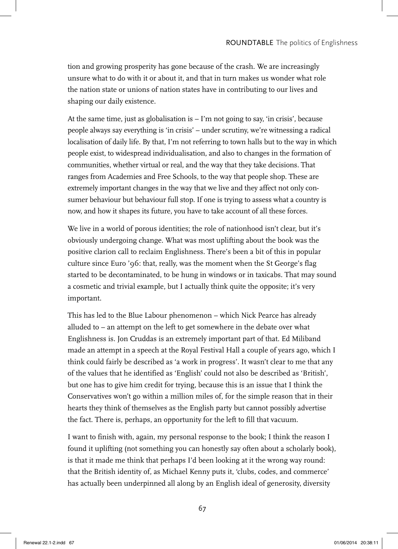tion and growing prosperity has gone because of the crash. We are increasingly unsure what to do with it or about it, and that in turn makes us wonder what role the nation state or unions of nation states have in contributing to our lives and shaping our daily existence.

At the same time, just as globalisation is – I'm not going to say, 'in crisis', because people always say everything is 'in crisis' – under scrutiny, we're witnessing a radical localisation of daily life. By that, I'm not referring to town halls but to the way in which people exist, to widespread individualisation, and also to changes in the formation of communities, whether virtual or real, and the way that they take decisions. That ranges from Academies and Free Schools, to the way that people shop. These are extremely important changes in the way that we live and they affect not only consumer behaviour but behaviour full stop. If one is trying to assess what a country is now, and how it shapes its future, you have to take account of all these forces.

We live in a world of porous identities; the role of nationhood isn't clear, but it's obviously undergoing change. What was most uplifting about the book was the positive clarion call to reclaim Englishness. There's been a bit of this in popular culture since Euro '96: that, really, was the moment when the St George's flag started to be decontaminated, to be hung in windows or in taxicabs. That may sound a cosmetic and trivial example, but I actually think quite the opposite; it's very important.

This has led to the Blue Labour phenomenon – which Nick Pearce has already alluded to – an attempt on the left to get somewhere in the debate over what Englishness is. Jon Cruddas is an extremely important part of that. Ed Miliband made an attempt in a speech at the Royal Festival Hall a couple of years ago, which I think could fairly be described as 'a work in progress'. It wasn't clear to me that any of the values that he identified as 'English' could not also be described as 'British', but one has to give him credit for trying, because this is an issue that I think the Conservatives won't go within a million miles of, for the simple reason that in their hearts they think of themselves as the English party but cannot possibly advertise the fact. There is, perhaps, an opportunity for the left to fill that vacuum.

I want to finish with, again, my personal response to the book; I think the reason I found it uplifting (not something you can honestly say often about a scholarly book), is that it made me think that perhaps I'd been looking at it the wrong way round: that the British identity of, as Michael Kenny puts it, 'clubs, codes, and commerce' has actually been underpinned all along by an English ideal of generosity, diversity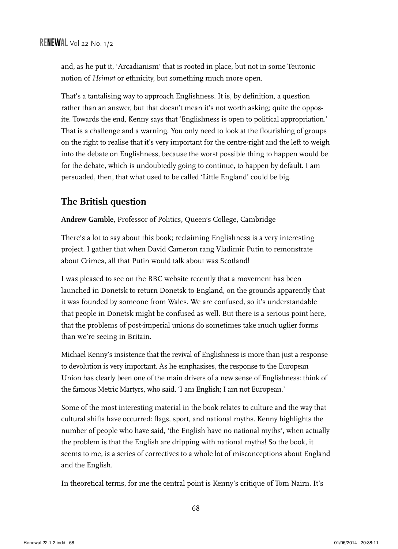and, as he put it, 'Arcadianism' that is rooted in place, but not in some Teutonic notion of *Heimat* or ethnicity, but something much more open.

That's a tantalising way to approach Englishness. It is, by definition, a question rather than an answer, but that doesn't mean it's not worth asking; quite the opposite. Towards the end, Kenny says that 'Englishness is open to political appropriation.' That is a challenge and a warning. You only need to look at the flourishing of groups on the right to realise that it's very important for the centre-right and the left to weigh into the debate on Englishness, because the worst possible thing to happen would be for the debate, which is undoubtedly going to continue, to happen by default. I am persuaded, then, that what used to be called 'Little England' could be big.

#### **The British question**

**Andrew Gamble**, Professor of Politics, Queen's College, Cambridge

There's a lot to say about this book; reclaiming Englishness is a very interesting project. I gather that when David Cameron rang Vladimir Putin to remonstrate about Crimea, all that Putin would talk about was Scotland!

I was pleased to see on the BBC website recently that a movement has been launched in Donetsk to return Donetsk to England, on the grounds apparently that it was founded by someone from Wales. We are confused, so it's understandable that people in Donetsk might be confused as well. But there is a serious point here, that the problems of post-imperial unions do sometimes take much uglier forms than we're seeing in Britain.

Michael Kenny's insistence that the revival of Englishness is more than just a response to devolution is very important. As he emphasises, the response to the European Union has clearly been one of the main drivers of a new sense of Englishness: think of the famous Metric Martyrs, who said, 'I am English; I am not European.'

Some of the most interesting material in the book relates to culture and the way that cultural shifts have occurred: flags, sport, and national myths. Kenny highlights the number of people who have said, 'the English have no national myths', when actually the problem is that the English are dripping with national myths! So the book, it seems to me, is a series of correctives to a whole lot of misconceptions about England and the English.

In theoretical terms, for me the central point is Kenny's critique of Tom Nairn. It's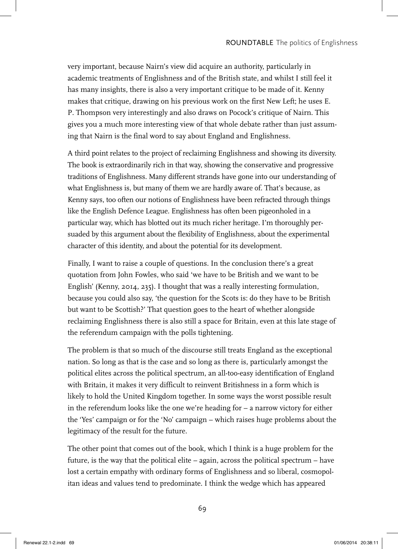very important, because Nairn's view did acquire an authority, particularly in academic treatments of Englishness and of the British state, and whilst I still feel it has many insights, there is also a very important critique to be made of it. Kenny makes that critique, drawing on his previous work on the first New Left; he uses E. P. Thompson very interestingly and also draws on Pocock's critique of Nairn. This gives you a much more interesting view of that whole debate rather than just assuming that Nairn is the final word to say about England and Englishness.

A third point relates to the project of reclaiming Englishness and showing its diversity. The book is extraordinarily rich in that way, showing the conservative and progressive traditions of Englishness. Many different strands have gone into our understanding of what Englishness is, but many of them we are hardly aware of. That's because, as Kenny says, too often our notions of Englishness have been refracted through things like the English Defence League. Englishness has often been pigeonholed in a particular way, which has blotted out its much richer heritage. I'm thoroughly persuaded by this argument about the flexibility of Englishness, about the experimental character of this identity, and about the potential for its development.

Finally, I want to raise a couple of questions. In the conclusion there's a great quotation from John Fowles, who said 'we have to be British and we want to be English' (Kenny, 2014, 235). I thought that was a really interesting formulation, because you could also say, 'the question for the Scots is: do they have to be British but want to be Scottish?' That question goes to the heart of whether alongside reclaiming Englishness there is also still a space for Britain, even at this late stage of the referendum campaign with the polls tightening.

The problem is that so much of the discourse still treats England as the exceptional nation. So long as that is the case and so long as there is, particularly amongst the political elites across the political spectrum, an all-too-easy identification of England with Britain, it makes it very difficult to reinvent Britishness in a form which is likely to hold the United Kingdom together. In some ways the worst possible result in the referendum looks like the one we're heading for – a narrow victory for either the 'Yes' campaign or for the 'No' campaign – which raises huge problems about the legitimacy of the result for the future.

The other point that comes out of the book, which I think is a huge problem for the future, is the way that the political elite – again, across the political spectrum – have lost a certain empathy with ordinary forms of Englishness and so liberal, cosmopolitan ideas and values tend to predominate. I think the wedge which has appeared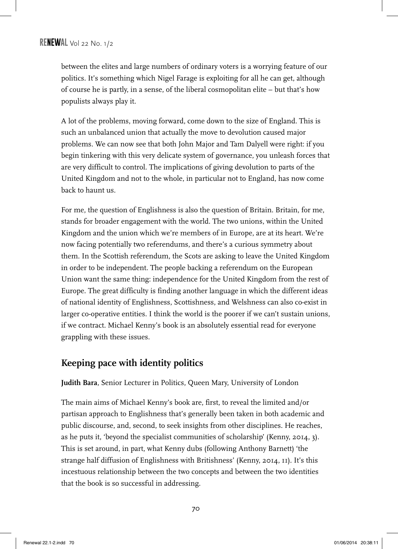between the elites and large numbers of ordinary voters is a worrying feature of our politics. It's something which Nigel Farage is exploiting for all he can get, although of course he is partly, in a sense, of the liberal cosmopolitan elite – but that's how populists always play it.

A lot of the problems, moving forward, come down to the size of England. This is such an unbalanced union that actually the move to devolution caused major problems. We can now see that both John Major and Tam Dalyell were right: if you begin tinkering with this very delicate system of governance, you unleash forces that are very difficult to control. The implications of giving devolution to parts of the United Kingdom and not to the whole, in particular not to England, has now come back to haunt us.

For me, the question of Englishness is also the question of Britain. Britain, for me, stands for broader engagement with the world. The two unions, within the United Kingdom and the union which we're members of in Europe, are at its heart. We're now facing potentially two referendums, and there's a curious symmetry about them. In the Scottish referendum, the Scots are asking to leave the United Kingdom in order to be independent. The people backing a referendum on the European Union want the same thing: independence for the United Kingdom from the rest of Europe. The great difficulty is finding another language in which the different ideas of national identity of Englishness, Scottishness, and Welshness can also co-exist in larger co-operative entities. I think the world is the poorer if we can't sustain unions, if we contract. Michael Kenny's book is an absolutely essential read for everyone grappling with these issues.

#### **Keeping pace with identity politics**

**Judith Bara**, Senior Lecturer in Politics, Queen Mary, University of London

The main aims of Michael Kenny's book are, first, to reveal the limited and/or partisan approach to Englishness that's generally been taken in both academic and public discourse, and, second, to seek insights from other disciplines. He reaches, as he puts it, 'beyond the specialist communities of scholarship' (Kenny, 2014, 3). This is set around, in part, what Kenny dubs (following Anthony Barnett) 'the strange half diffusion of Englishness with Britishness' (Kenny, 2014, 11). It's this incestuous relationship between the two concepts and between the two identities that the book is so successful in addressing.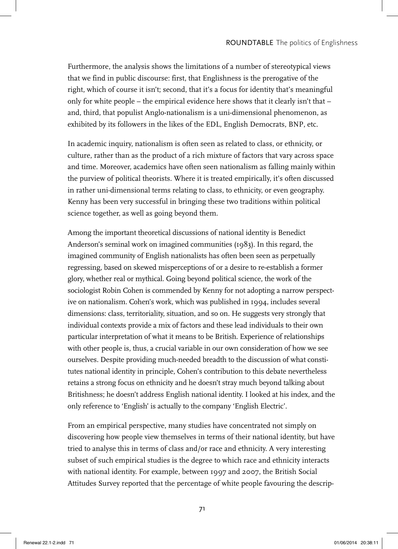Furthermore, the analysis shows the limitations of a number of stereotypical views that we find in public discourse: first, that Englishness is the prerogative of the right, which of course it isn't; second, that it's a focus for identity that's meaningful only for white people – the empirical evidence here shows that it clearly isn't that – and, third, that populist Anglo-nationalism is a uni-dimensional phenomenon, as exhibited by its followers in the likes of the EDL, English Democrats, BNP, etc.

In academic inquiry, nationalism is often seen as related to class, or ethnicity, or culture, rather than as the product of a rich mixture of factors that vary across space and time. Moreover, academics have often seen nationalism as falling mainly within the purview of political theorists. Where it is treated empirically, it's often discussed in rather uni-dimensional terms relating to class, to ethnicity, or even geography. Kenny has been very successful in bringing these two traditions within political science together, as well as going beyond them.

Among the important theoretical discussions of national identity is Benedict Anderson's seminal work on imagined communities (1983). In this regard, the imagined community of English nationalists has often been seen as perpetually regressing, based on skewed misperceptions of or a desire to re-establish a former glory, whether real or mythical. Going beyond political science, the work of the sociologist Robin Cohen is commended by Kenny for not adopting a narrow perspective on nationalism. Cohen's work, which was published in 1994, includes several dimensions: class, territoriality, situation, and so on. He suggests very strongly that individual contexts provide a mix of factors and these lead individuals to their own particular interpretation of what it means to be British. Experience of relationships with other people is, thus, a crucial variable in our own consideration of how we see ourselves. Despite providing much-needed breadth to the discussion of what constitutes national identity in principle, Cohen's contribution to this debate nevertheless retains a strong focus on ethnicity and he doesn't stray much beyond talking about Britishness; he doesn't address English national identity. I looked at his index, and the only reference to 'English' is actually to the company 'English Electric'.

From an empirical perspective, many studies have concentrated not simply on discovering how people view themselves in terms of their national identity, but have tried to analyse this in terms of class and/or race and ethnicity. A very interesting subset of such empirical studies is the degree to which race and ethnicity interacts with national identity. For example, between 1997 and 2007, the British Social Attitudes Survey reported that the percentage of white people favouring the descrip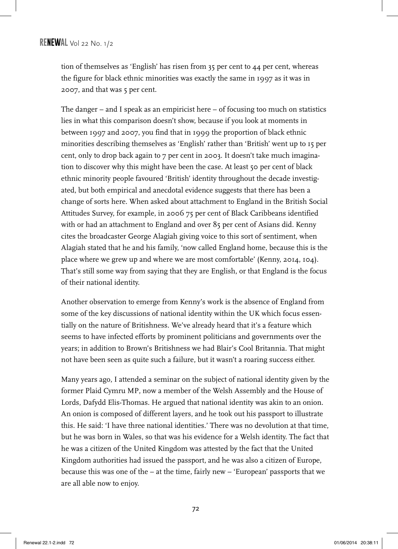tion of themselves as 'English' has risen from 35 per cent to 44 per cent, whereas the figure for black ethnic minorities was exactly the same in 1997 as it was in 2007, and that was 5 per cent.

The danger  $-$  and I speak as an empiricist here  $-$  of focusing too much on statistics lies in what this comparison doesn't show, because if you look at moments in between 1997 and 2007, you find that in 1999 the proportion of black ethnic minorities describing themselves as 'English' rather than 'British' went up to 15 per cent, only to drop back again to 7 per cent in 2003. It doesn't take much imagination to discover why this might have been the case. At least 50 per cent of black ethnic minority people favoured 'British' identity throughout the decade investigated, but both empirical and anecdotal evidence suggests that there has been a change of sorts here. When asked about attachment to England in the British Social Attitudes Survey, for example, in 2006 75 per cent of Black Caribbeans identified with or had an attachment to England and over 85 per cent of Asians did. Kenny cites the broadcaster George Alagiah giving voice to this sort of sentiment, when Alagiah stated that he and his family, 'now called England home, because this is the place where we grew up and where we are most comfortable' (Kenny, 2014, 104). That's still some way from saying that they are English, or that England is the focus of their national identity.

Another observation to emerge from Kenny's work is the absence of England from some of the key discussions of national identity within the UK which focus essentially on the nature of Britishness. We've already heard that it's a feature which seems to have infected efforts by prominent politicians and governments over the years; in addition to Brown's Britishness we had Blair's Cool Britannia. That might not have been seen as quite such a failure, but it wasn't a roaring success either.

Many years ago, I attended a seminar on the subject of national identity given by the former Plaid Cymru MP, now a member of the Welsh Assembly and the House of Lords, Dafydd Elis-Thomas. He argued that national identity was akin to an onion. An onion is composed of different layers, and he took out his passport to illustrate this. He said: 'I have three national identities.' There was no devolution at that time, but he was born in Wales, so that was his evidence for a Welsh identity. The fact that he was a citizen of the United Kingdom was attested by the fact that the United Kingdom authorities had issued the passport, and he was also a citizen of Europe, because this was one of the – at the time, fairly new – 'European' passports that we are all able now to enjoy.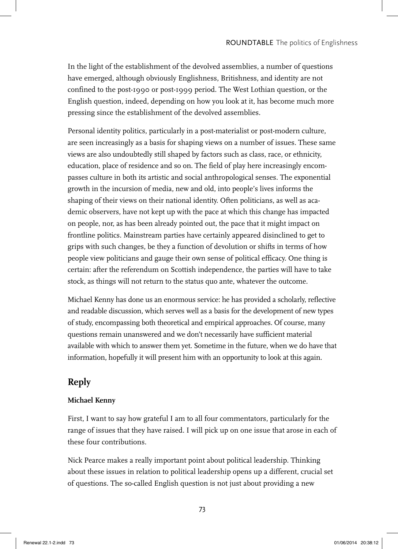In the light of the establishment of the devolved assemblies, a number of questions have emerged, although obviously Englishness, Britishness, and identity are not confined to the post-1990 or post-1999 period. The West Lothian question, or the English question, indeed, depending on how you look at it, has become much more pressing since the establishment of the devolved assemblies.

Personal identity politics, particularly in a post-materialist or post-modern culture, are seen increasingly as a basis for shaping views on a number of issues. These same views are also undoubtedly still shaped by factors such as class, race, or ethnicity, education, place of residence and so on. The field of play here increasingly encompasses culture in both its artistic and social anthropological senses. The exponential growth in the incursion of media, new and old, into people's lives informs the shaping of their views on their national identity. Often politicians, as well as academic observers, have not kept up with the pace at which this change has impacted on people, nor, as has been already pointed out, the pace that it might impact on frontline politics. Mainstream parties have certainly appeared disinclined to get to grips with such changes, be they a function of devolution or shifts in terms of how people view politicians and gauge their own sense of political efficacy. One thing is certain: after the referendum on Scottish independence, the parties will have to take stock, as things will not return to the status quo ante, whatever the outcome.

Michael Kenny has done us an enormous service: he has provided a scholarly, reflective and readable discussion, which serves well as a basis for the development of new types of study, encompassing both theoretical and empirical approaches. Of course, many questions remain unanswered and we don't necessarily have sufficient material available with which to answer them yet. Sometime in the future, when we do have that information, hopefully it will present him with an opportunity to look at this again.

# **Reply**

#### **Michael Kenny**

First, I want to say how grateful I am to all four commentators, particularly for the range of issues that they have raised. I will pick up on one issue that arose in each of these four contributions.

Nick Pearce makes a really important point about political leadership. Thinking about these issues in relation to political leadership opens up a different, crucial set of questions. The so-called English question is not just about providing a new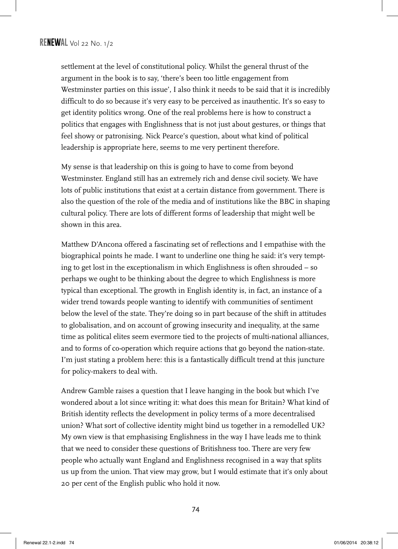settlement at the level of constitutional policy. Whilst the general thrust of the argument in the book is to say, 'there's been too little engagement from Westminster parties on this issue', I also think it needs to be said that it is incredibly difficult to do so because it's very easy to be perceived as inauthentic. It's so easy to get identity politics wrong. One of the real problems here is how to construct a politics that engages with Englishness that is not just about gestures, or things that feel showy or patronising. Nick Pearce's question, about what kind of political leadership is appropriate here, seems to me very pertinent therefore.

My sense is that leadership on this is going to have to come from beyond Westminster. England still has an extremely rich and dense civil society. We have lots of public institutions that exist at a certain distance from government. There is also the question of the role of the media and of institutions like the BBC in shaping cultural policy. There are lots of different forms of leadership that might well be shown in this area.

Matthew D'Ancona offered a fascinating set of reflections and I empathise with the biographical points he made. I want to underline one thing he said: it's very tempting to get lost in the exceptionalism in which Englishness is often shrouded – so perhaps we ought to be thinking about the degree to which Englishness is more typical than exceptional. The growth in English identity is, in fact, an instance of a wider trend towards people wanting to identify with communities of sentiment below the level of the state. They're doing so in part because of the shift in attitudes to globalisation, and on account of growing insecurity and inequality, at the same time as political elites seem evermore tied to the projects of multi-national alliances, and to forms of co-operation which require actions that go beyond the nation-state. I'm just stating a problem here: this is a fantastically difficult trend at this juncture for policy-makers to deal with.

Andrew Gamble raises a question that I leave hanging in the book but which I've wondered about a lot since writing it: what does this mean for Britain? What kind of British identity reflects the development in policy terms of a more decentralised union? What sort of collective identity might bind us together in a remodelled UK? My own view is that emphasising Englishness in the way I have leads me to think that we need to consider these questions of Britishness too. There are very few people who actually want England and Englishness recognised in a way that splits us up from the union. That view may grow, but I would estimate that it's only about 20 per cent of the English public who hold it now.